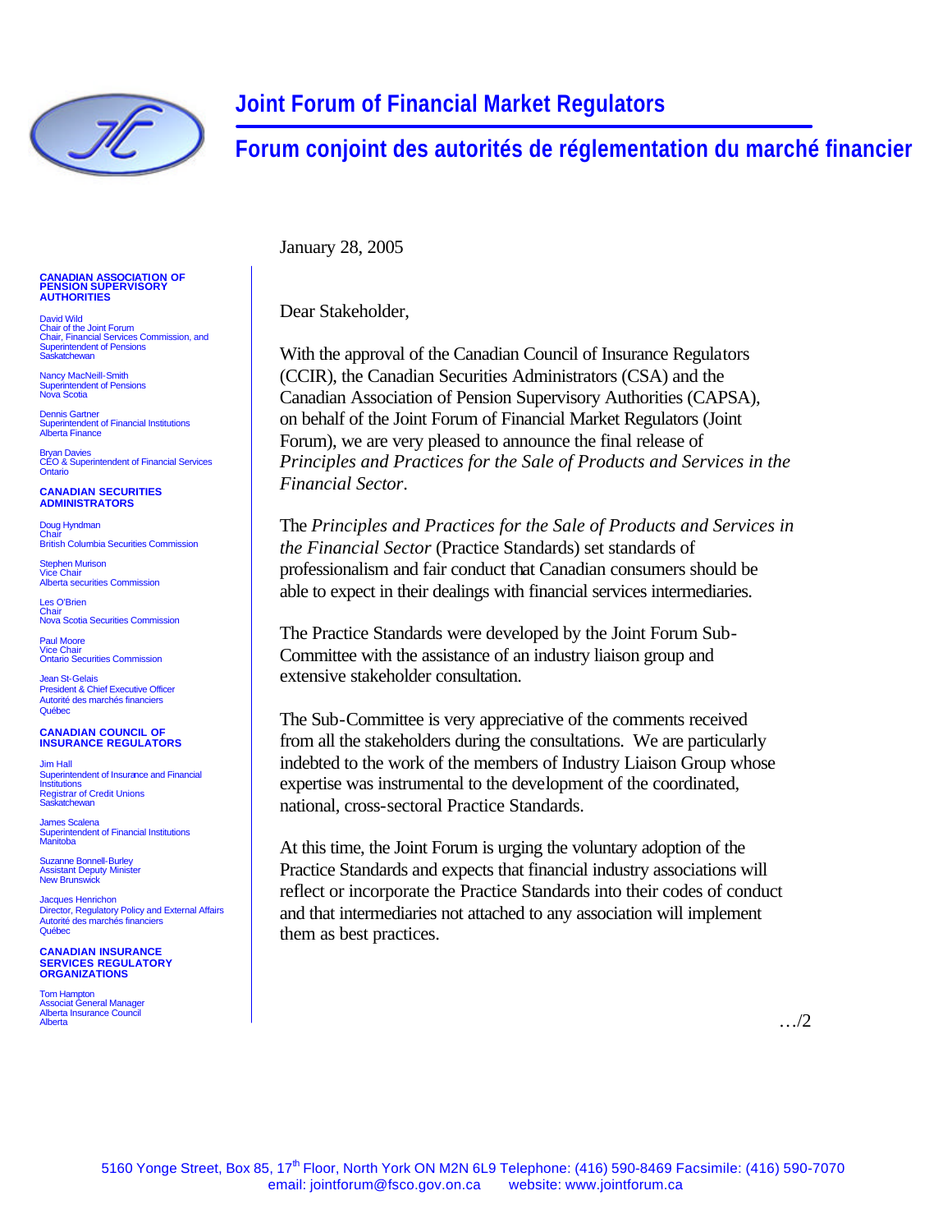

## **Joint Forum of Financial Market Regulators**

**Forum conjoint des autorités de réglementation du marché financier**

January 28, 2005

Dear Stakeholder,

With the approval of the Canadian Council of Insurance Regulators (CCIR), the Canadian Securities Administrators (CSA) and the Canadian Association of Pension Supervisory Authorities (CAPSA), on behalf of the Joint Forum of Financial Market Regulators (Joint Forum), we are very pleased to announce the final release of *Principles and Practices for the Sale of Products and Services in the Financial Sector*.

The *Principles and Practices for the Sale of Products and Services in the Financial Sector* (Practice Standards) set standards of professionalism and fair conduct that Canadian consumers should be able to expect in their dealings with financial services intermediaries.

The Practice Standards were developed by the Joint Forum Sub-Committee with the assistance of an industry liaison group and extensive stakeholder consultation.

The Sub-Committee is very appreciative of the comments received from all the stakeholders during the consultations. We are particularly indebted to the work of the members of Industry Liaison Group whose expertise was instrumental to the development of the coordinated, national, cross-sectoral Practice Standards.

At this time, the Joint Forum is urging the voluntary adoption of the Practice Standards and expects that financial industry associations will reflect or incorporate the Practice Standards into their codes of conduct and that intermediaries not attached to any association will implement them as best practices.

## **CANADIAN ASSOCIATION OF PENSION SUPERVISORY AUTHORITIES**

David Wild Chair of the Joint Forum Chair, Financial Services Commission, and Superintendent of Pensions Saskatchewan

Nancy MacNeill-Smith Superintendent of Pensions Nova Scotia

Dennis Gartner Superintendent of Financial Institutions Alberta Finance

Bryan Davies CEO & Superintendent of Financial Services **Ontario** 

## **CANADIAN SECURITIES ADMINISTRATORS**

Doug Hyndman Chair British Columbia Securities Commission

Stephen Murison Vice Chair Alberta securities Commission

Les O'Brien Chair Nova Scotia Securities Commission

Paul Moore Vice Chair Ontario Securities Commission

Jean St-Gelais President & Chief Executive Officer Autorité des marchés financiers Québe

**CANADIAN COUNCIL OF INSURANCE REGULATORS**

Jim Hall Superintendent of Insurance and Financial Institutions Registrar of Credit Unions Saskatchewan

James Scalena Superintendent of Financial Institutions Manitoba

Suzanne Bonnell-Burley Assistant Deputy Minister New Brunswick

Jacques Henrichon Director, Regulatory Policy and External Affairs Autorité des marchés financiers Québec

 **CANADIAN INSURANCE SERVICES REGULATORY ORGANIZATIONS**

Tom Hampton Associat General Manager Alberta Insurance Council Alberta